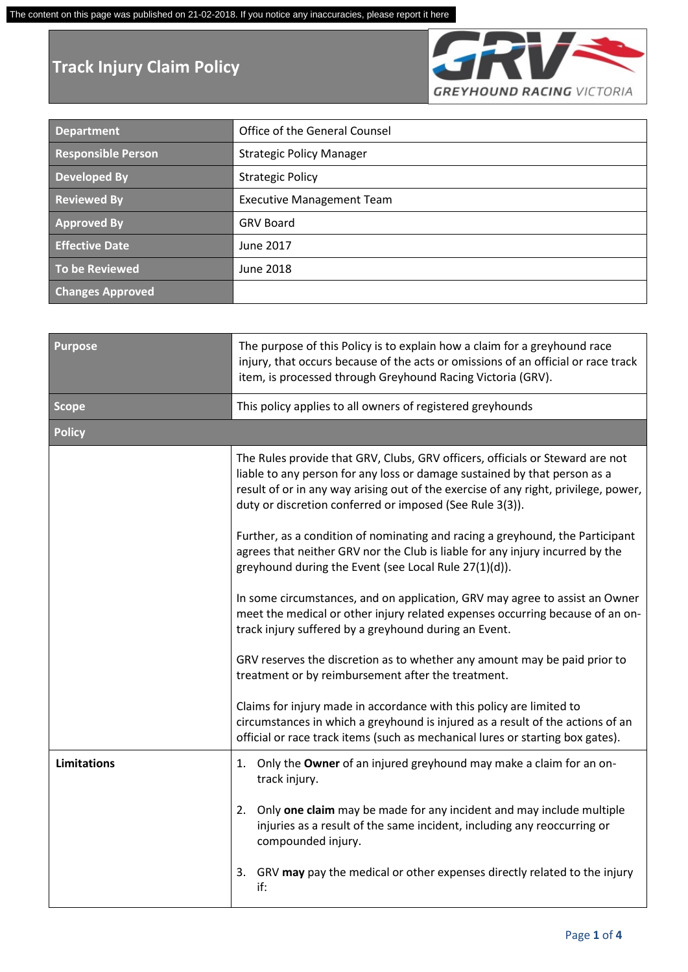## **Track Injury Claim Policy**



| <b>Department</b>         | Office of the General Counsel    |
|---------------------------|----------------------------------|
| <b>Responsible Person</b> | <b>Strategic Policy Manager</b>  |
| <b>Developed By</b>       | <b>Strategic Policy</b>          |
| <b>Reviewed By</b>        | <b>Executive Management Team</b> |
| <b>Approved By</b>        | <b>GRV Board</b>                 |
| <b>Effective Date</b>     | June 2017                        |
| <b>To be Reviewed</b>     | June 2018                        |
| <b>Changes Approved</b>   |                                  |

| <b>Purpose</b>     | The purpose of this Policy is to explain how a claim for a greyhound race<br>injury, that occurs because of the acts or omissions of an official or race track<br>item, is processed through Greyhound Racing Victoria (GRV).                                                                                 |
|--------------------|---------------------------------------------------------------------------------------------------------------------------------------------------------------------------------------------------------------------------------------------------------------------------------------------------------------|
| <b>Scope</b>       | This policy applies to all owners of registered greyhounds                                                                                                                                                                                                                                                    |
| <b>Policy</b>      |                                                                                                                                                                                                                                                                                                               |
|                    | The Rules provide that GRV, Clubs, GRV officers, officials or Steward are not<br>liable to any person for any loss or damage sustained by that person as a<br>result of or in any way arising out of the exercise of any right, privilege, power,<br>duty or discretion conferred or imposed (See Rule 3(3)). |
|                    | Further, as a condition of nominating and racing a greyhound, the Participant<br>agrees that neither GRV nor the Club is liable for any injury incurred by the<br>greyhound during the Event (see Local Rule 27(1)(d)).                                                                                       |
|                    | In some circumstances, and on application, GRV may agree to assist an Owner<br>meet the medical or other injury related expenses occurring because of an on-<br>track injury suffered by a greyhound during an Event.                                                                                         |
|                    | GRV reserves the discretion as to whether any amount may be paid prior to<br>treatment or by reimbursement after the treatment.                                                                                                                                                                               |
|                    | Claims for injury made in accordance with this policy are limited to<br>circumstances in which a greyhound is injured as a result of the actions of an<br>official or race track items (such as mechanical lures or starting box gates).                                                                      |
| <b>Limitations</b> | 1. Only the Owner of an injured greyhound may make a claim for an on-<br>track injury.                                                                                                                                                                                                                        |
|                    | Only one claim may be made for any incident and may include multiple<br>2.<br>injuries as a result of the same incident, including any reoccurring or<br>compounded injury.                                                                                                                                   |
|                    | GRV may pay the medical or other expenses directly related to the injury<br>3.<br>if:                                                                                                                                                                                                                         |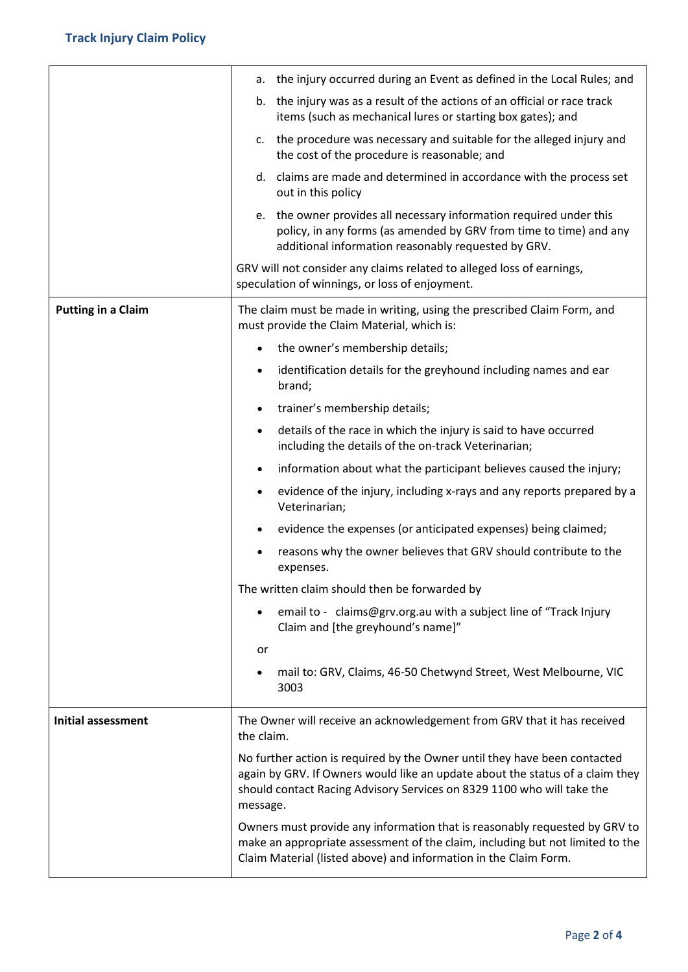|                           | the injury occurred during an Event as defined in the Local Rules; and<br>а.                                                                                                                                                                     |
|---------------------------|--------------------------------------------------------------------------------------------------------------------------------------------------------------------------------------------------------------------------------------------------|
|                           | b. the injury was as a result of the actions of an official or race track<br>items (such as mechanical lures or starting box gates); and                                                                                                         |
|                           | c. the procedure was necessary and suitable for the alleged injury and<br>the cost of the procedure is reasonable; and                                                                                                                           |
|                           | d. claims are made and determined in accordance with the process set<br>out in this policy                                                                                                                                                       |
|                           | e. the owner provides all necessary information required under this<br>policy, in any forms (as amended by GRV from time to time) and any<br>additional information reasonably requested by GRV.                                                 |
|                           | GRV will not consider any claims related to alleged loss of earnings,<br>speculation of winnings, or loss of enjoyment.                                                                                                                          |
| <b>Putting in a Claim</b> | The claim must be made in writing, using the prescribed Claim Form, and<br>must provide the Claim Material, which is:                                                                                                                            |
|                           | the owner's membership details;<br>$\bullet$                                                                                                                                                                                                     |
|                           | identification details for the greyhound including names and ear<br>$\bullet$<br>brand;                                                                                                                                                          |
|                           | trainer's membership details;<br>$\bullet$                                                                                                                                                                                                       |
|                           | details of the race in which the injury is said to have occurred<br>$\bullet$<br>including the details of the on-track Veterinarian;                                                                                                             |
|                           | information about what the participant believes caused the injury;<br>$\bullet$                                                                                                                                                                  |
|                           | evidence of the injury, including x-rays and any reports prepared by a<br>$\bullet$<br>Veterinarian;                                                                                                                                             |
|                           | evidence the expenses (or anticipated expenses) being claimed;<br>٠                                                                                                                                                                              |
|                           | reasons why the owner believes that GRV should contribute to the<br>٠<br>expenses.                                                                                                                                                               |
|                           | The written claim should then be forwarded by                                                                                                                                                                                                    |
|                           | email to - claims@grv.org.au with a subject line of "Track Injury<br>٠<br>Claim and [the greyhound's name]"                                                                                                                                      |
|                           | or                                                                                                                                                                                                                                               |
|                           | mail to: GRV, Claims, 46-50 Chetwynd Street, West Melbourne, VIC<br>٠<br>3003                                                                                                                                                                    |
| <b>Initial assessment</b> | The Owner will receive an acknowledgement from GRV that it has received<br>the claim.                                                                                                                                                            |
|                           | No further action is required by the Owner until they have been contacted<br>again by GRV. If Owners would like an update about the status of a claim they<br>should contact Racing Advisory Services on 8329 1100 who will take the<br>message. |
|                           | Owners must provide any information that is reasonably requested by GRV to<br>make an appropriate assessment of the claim, including but not limited to the<br>Claim Material (listed above) and information in the Claim Form.                  |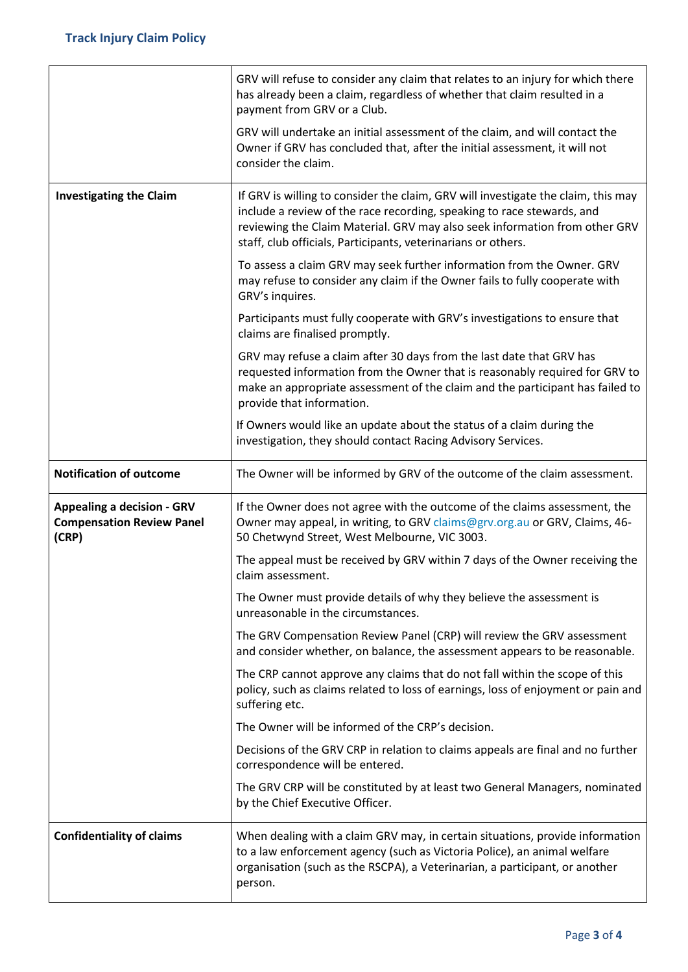|                                                                                | GRV will refuse to consider any claim that relates to an injury for which there<br>has already been a claim, regardless of whether that claim resulted in a<br>payment from GRV or a Club.                                                                                                                 |
|--------------------------------------------------------------------------------|------------------------------------------------------------------------------------------------------------------------------------------------------------------------------------------------------------------------------------------------------------------------------------------------------------|
|                                                                                | GRV will undertake an initial assessment of the claim, and will contact the<br>Owner if GRV has concluded that, after the initial assessment, it will not<br>consider the claim.                                                                                                                           |
| <b>Investigating the Claim</b>                                                 | If GRV is willing to consider the claim, GRV will investigate the claim, this may<br>include a review of the race recording, speaking to race stewards, and<br>reviewing the Claim Material. GRV may also seek information from other GRV<br>staff, club officials, Participants, veterinarians or others. |
|                                                                                | To assess a claim GRV may seek further information from the Owner. GRV<br>may refuse to consider any claim if the Owner fails to fully cooperate with<br>GRV's inquires.                                                                                                                                   |
|                                                                                | Participants must fully cooperate with GRV's investigations to ensure that<br>claims are finalised promptly.                                                                                                                                                                                               |
|                                                                                | GRV may refuse a claim after 30 days from the last date that GRV has<br>requested information from the Owner that is reasonably required for GRV to<br>make an appropriate assessment of the claim and the participant has failed to<br>provide that information.                                          |
|                                                                                | If Owners would like an update about the status of a claim during the<br>investigation, they should contact Racing Advisory Services.                                                                                                                                                                      |
| <b>Notification of outcome</b>                                                 | The Owner will be informed by GRV of the outcome of the claim assessment.                                                                                                                                                                                                                                  |
| <b>Appealing a decision - GRV</b><br><b>Compensation Review Panel</b><br>(CRP) | If the Owner does not agree with the outcome of the claims assessment, the<br>Owner may appeal, in writing, to GRV claims@grv.org.au or GRV, Claims, 46-<br>50 Chetwynd Street, West Melbourne, VIC 3003.                                                                                                  |
|                                                                                | The appeal must be received by GRV within 7 days of the Owner receiving the<br>claim assessment.                                                                                                                                                                                                           |
|                                                                                | The Owner must provide details of why they believe the assessment is<br>unreasonable in the circumstances.                                                                                                                                                                                                 |
|                                                                                | The GRV Compensation Review Panel (CRP) will review the GRV assessment<br>and consider whether, on balance, the assessment appears to be reasonable.                                                                                                                                                       |
|                                                                                | The CRP cannot approve any claims that do not fall within the scope of this<br>policy, such as claims related to loss of earnings, loss of enjoyment or pain and<br>suffering etc.                                                                                                                         |
|                                                                                | The Owner will be informed of the CRP's decision.                                                                                                                                                                                                                                                          |
|                                                                                | Decisions of the GRV CRP in relation to claims appeals are final and no further<br>correspondence will be entered.                                                                                                                                                                                         |
|                                                                                | The GRV CRP will be constituted by at least two General Managers, nominated<br>by the Chief Executive Officer.                                                                                                                                                                                             |
| <b>Confidentiality of claims</b>                                               | When dealing with a claim GRV may, in certain situations, provide information<br>to a law enforcement agency (such as Victoria Police), an animal welfare<br>organisation (such as the RSCPA), a Veterinarian, a participant, or another<br>person.                                                        |